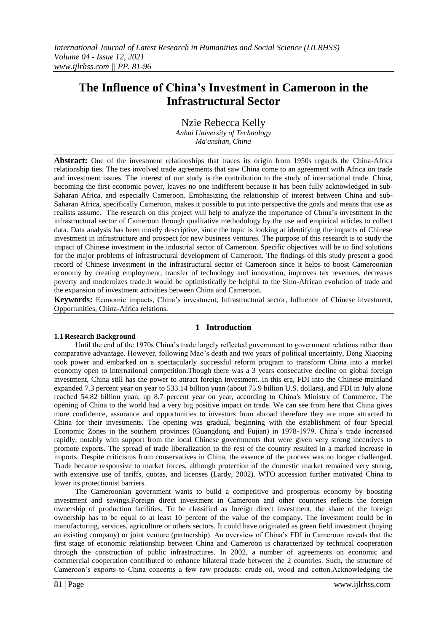# **The Influence of China's Investment in Cameroon in the Infrastructural Sector**

Nzie Rebecca Kelly

*Anhui University of Technology Ma'anshan, China*

**Abstract:** One of the investment relationships that traces its origin from 1950s regards the China-Africa relationship ties. The ties involved trade agreements that saw China come to an agreement with Africa on trade and investment issues. The interest of our study is the contribution to the study of international trade. China, becoming the first economic power, leaves no one indifferent because it has been fully acknowledged in sub-Saharan Africa, and especially Cameroon. Emphasizing the relationship of interest between China and sub-Saharan Africa, specifically Cameroon, makes it possible to put into perspective the goals and means that use as realists assume. The research on this project will help to analyze the importance of China's investment in the infrastructural sector of Cameroon through qualitative methodology by the use and empirical articles to collect data. Data analysis has been mostly descriptive, since the topic is looking at identifying the impacts of Chinese investment in infrastructure and prospect for new business ventures. The purpose of this research is to study the impact of Chinese investment in the industrial sector of Cameroon. Specific objectives will be to find solutions for the major problems of infrastructural development of Cameroon. The findings of this study present a good record of Chinese investment in the infrastructural sector of Cameroon since it helps to boost Cameroonian economy by creating employment, transfer of technology and innovation, improves tax revenues, decreases poverty and modernizes trade.It would be optimistically be helpful to the Sino-African evolution of trade and the expansion of investment activities between China and Cameroon.

**Keywords:** Economic impacts, China's investment, Infrastructural sector, Influence of Chinese investment, Opportunities, China-Africa relations.

# **1 Introduction**

## **1.1 Research Background**

Until the end of the 1970s China's trade largely reflected government to government relations rather than comparative advantage. However, following Mao's death and two years of political uncertainty, Deng Xiaoping took power and embarked on a spectacularly successful reform program to transform China into a market economy open to international competition.Though there was a 3 years consecutive decline on global foreign investment, China still has the power to attract foreign investment. In this era, FDI into the Chinese mainland expanded 7.3 percent year on year to 533.14 billion yuan (about 75.9 billion U.S. dollars), and FDI in July alone reached 54.82 billion yuan, up 8.7 percent year on year, according to China's Ministry of Commerce. The opening of China to the world had a very big positive impact on trade. We can see from here that China gives more confidence, assurance and opportunities to investors from abroad therefore they are more attracted to China for their investments. The opening was gradual, beginning with the establishment of four Special Economic Zones in the southern provinces (Guangdong and Fujian) in 1978-1979. China's trade increased rapidly, notably with support from the local Chinese governments that were given very strong incentives to promote exports. The spread of trade liberalization to the rest of the country resulted in a marked increase in imports. Despite criticisms from conservatives in China, the essence of the process was no longer challenged. Trade became responsive to market forces, although protection of the domestic market remained very strong, with extensive use of tariffs, quotas, and licenses (Lardy, 2002). WTO accession further motivated China to lower its protectionist barriers.

The Cameroonian government wants to build a competitive and prosperous economy by boosting investment and savings.Foreign direct investment in Cameroon and other countries reflects the foreign ownership of production facilities. To be classified as foreign direct investment, the share of the foreign ownership has to be equal to at least 10 percent of the value of the company. The investment could be in manufacturing, services, agriculture or others sectors. It could have originated as green field investment (buying an existing company) or joint venture (partnership). An overview of China's FDI in Cameroon reveals that the first stage of economic relationship between China and Cameroon is characterized by technical cooperation through the construction of public infrastructures. In 2002, a number of agreements on economic and commercial cooperation contributed to enhance bilateral trade between the 2 countries. Such, the structure of Cameroon's exports to China concerns a few raw products: crude oil, wood and cotton.Acknowledging the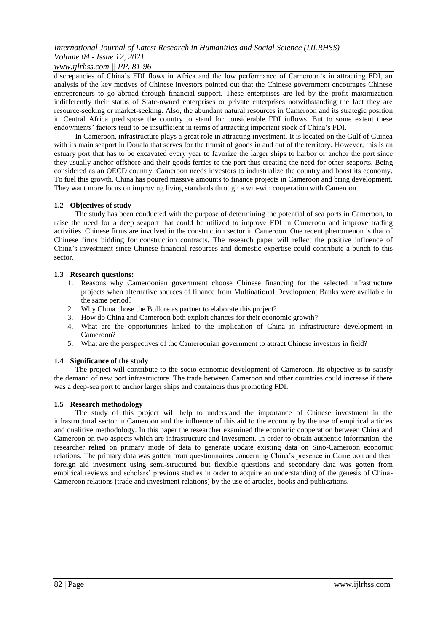# *www.ijlrhss.com || PP. 81-96*

discrepancies of China's FDI flows in Africa and the low performance of Cameroon's in attracting FDI, an analysis of the key motives of Chinese investors pointed out that the Chinese government encourages Chinese entrepreneurs to go abroad through financial support. These enterprises are led by the profit maximization indifferently their status of State-owned enterprises or private enterprises notwithstanding the fact they are resource-seeking or market-seeking. Also, the abundant natural resources in Cameroon and its strategic position in Central Africa predispose the country to stand for considerable FDI inflows. But to some extent these endowments' factors tend to be insufficient in terms of attracting important stock of China's FDI.

In Cameroon, infrastructure plays a great role in attracting investment. It is located on the Gulf of Guinea with its main seaport in Douala that serves for the transit of goods in and out of the territory. However, this is an estuary port that has to be excavated every year to favorize the larger ships to harbor or anchor the port since they usually anchor offshore and their goods ferries to the port thus creating the need for other seaports. Being considered as an OECD country, Cameroon needs investors to industrialize the country and boost its economy. To fuel this growth, China has poured massive amounts to finance projects in Cameroon and bring development. They want more focus on improving living standards through a win-win cooperation with Cameroon.

## **1.2 Objectives of study**

The study has been conducted with the purpose of determining the potential of sea ports in Cameroon, to raise the need for a deep seaport that could be utilized to improve FDI in Cameroon and improve trading activities. Chinese firms are involved in the construction sector in Cameroon. One recent phenomenon is that of Chinese firms bidding for construction contracts. The research paper will reflect the positive influence of China's investment since Chinese financial resources and domestic expertise could contribute a bunch to this sector.

# **1.3 Research questions:**

- 1. Reasons why Cameroonian government choose Chinese financing for the selected infrastructure projects when alternative sources of finance from Multinational Development Banks were available in the same period?
- 2. Why China chose the Bollore as partner to elaborate this project?
- 3. How do China and Cameroon both exploit chances for their economic growth?
- 4. What are the opportunities linked to the implication of China in infrastructure development in Cameroon?
- 5. What are the perspectives of the Cameroonian government to attract Chinese investors in field?

# **1.4 Significance of the study**

The project will contribute to the socio-economic development of Cameroon. Its objective is to satisfy the demand of new port infrastructure. The trade between Cameroon and other countries could increase if there was a deep-sea port to anchor larger ships and containers thus promoting FDI.

## **1.5 Research methodology**

The study of this project will help to understand the importance of Chinese investment in the infrastructural sector in Cameroon and the influence of this aid to the economy by the use of empirical articles and qualitive methodology. In this paper the researcher examined the economic cooperation between China and Cameroon on two aspects which are infrastructure and investment. In order to obtain authentic information, the researcher relied on primary mode of data to generate update existing data on Sino-Cameroon economic relations. The primary data was gotten from questionnaires concerning China's presence in Cameroon and their foreign aid investment using semi-structured but flexible questions and secondary data was gotten from empirical reviews and scholars' previous studies in order to acquire an understanding of the genesis of China-Cameroon relations (trade and investment relations) by the use of articles, books and publications.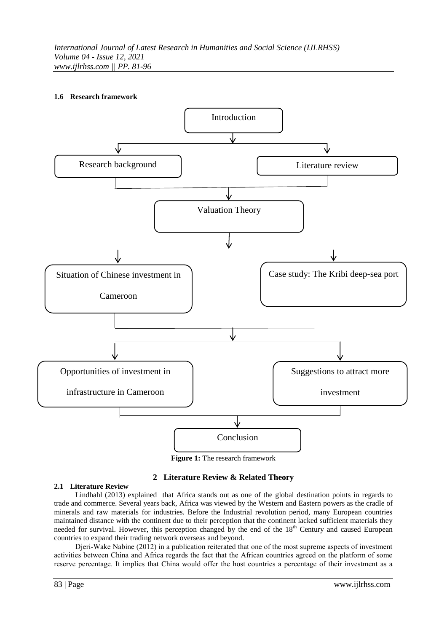# **1.6 Research framework**



**Figure 1:** The research framework

# **2 Literature Review & Related Theory**

## **2.1 Literature Review**

Lindhahl (2013) explained that Africa stands out as one of the global destination points in regards to trade and commerce. Several years back, Africa was viewed by the Western and Eastern powers as the cradle of minerals and raw materials for industries. Before the Industrial revolution period, many European countries maintained distance with the continent due to their perception that the continent lacked sufficient materials they needed for survival. However, this perception changed by the end of the 18<sup>th</sup> Century and caused European countries to expand their trading network overseas and beyond.

Djeri-Wake Nabine (2012) in a publication reiterated that one of the most supreme aspects of investment activities between China and Africa regards the fact that the African countries agreed on the platform of some reserve percentage. It implies that China would offer the host countries a percentage of their investment as a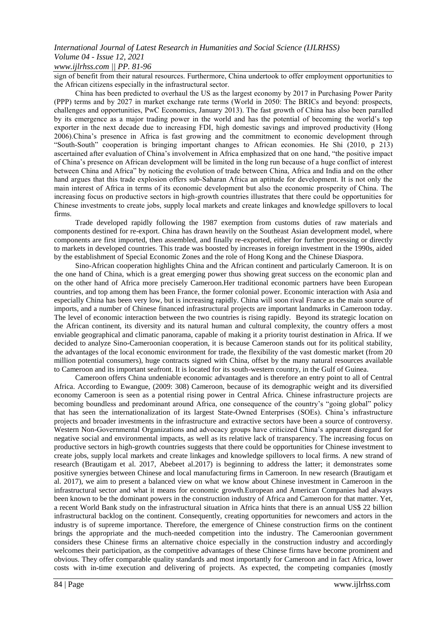# *www.ijlrhss.com || PP. 81-96*

sign of benefit from their natural resources. Furthermore, China undertook to offer employment opportunities to the African citizens especially in the infrastructural sector.

China has been predicted to overhaul the US as the largest economy by 2017 in Purchasing Power Parity (PPP) terms and by 2027 in market exchange rate terms (World in 2050: The BRICs and beyond: prospects, challenges and opportunities, PwC Economics, January 2013). The fast growth of China has also been paralled by its emergence as a major trading power in the world and has the potential of becoming the world's top exporter in the next decade due to increasing FDI, high domestic savings and improved productivity (Hong 2006).China's presence in Africa is fast growing and the commitment to economic development through "South-South" cooperation is bringing important changes to African economies. He Shi (2010, p 213) ascertained after evaluation of China's involvement in Africa emphasized that on one hand, "the positive impact of China's presence on African development will be limited in the long run because of a huge conflict of interest between China and Africa" by noticing the evolution of trade between China, Africa and India and on the other hand argues that this trade explosion offers sub-Saharan Africa an aptitude for development. It is not only the main interest of Africa in terms of its economic development but also the economic prosperity of China. The increasing focus on productive sectors in high-growth countries illustrates that there could be opportunities for Chinese investments to create jobs, supply local markets and create linkages and knowledge spillovers to local firms.

Trade developed rapidly following the 1987 exemption from customs duties of raw materials and components destined for re-export. China has drawn heavily on the Southeast Asian development model, where components are first imported, then assembled, and finally re-exported, either for further processing or directly to markets in developed countries. This trade was boosted by increases in foreign investment in the 1990s, aided by the establishment of Special Economic Zones and the role of Hong Kong and the Chinese Diaspora.

Sino-African cooperation highlights China and the African continent and particularly Cameroon. It is on the one hand of China, which is a great emerging power thus showing great success on the economic plan and on the other hand of Africa more precisely Cameroon.Her traditional economic partners have been European countries, and top among them has been France, the former colonial power. Economic interaction with Asia and especially China has been very low, but is increasing rapidly. China will soon rival France as the main source of imports, and a number of Chinese financed infrastructural projects are important landmarks in Cameroon today. The level of economic interaction between the two countries is rising rapidly. Beyond its strategic location on the African continent, its diversity and its natural human and cultural complexity, the country offers a most enviable geographical and climatic panorama, capable of making it a priority tourist destination in Africa. If we decided to analyze Sino-Cameroonian cooperation, it is because Cameroon stands out for its political stability, the advantages of the local economic environment for trade, the flexibility of the vast domestic market (from 20 million potential consumers), huge contracts signed with China, offset by the many natural resources available to Cameroon and its important seafront. It is located for its south-western country, in the Gulf of Guinea.

Cameroon offers China undeniable economic advantages and is therefore an entry point to all of Central Africa. According to Ewangue, (2009: 308) Cameroon, because of its demographic weight and its diversified economy Cameroon is seen as a potential rising power in Central Africa. Chinese infrastructure projects are becoming boundless and predominant around Africa, one consequence of the country's "going global" policy that has seen the internationalization of its largest State-Owned Enterprises (SOEs). China's infrastructure projects and broader investments in the infrastructure and extractive sectors have been a source of controversy. Western Non-Governmental Organizations and advocacy groups have criticized China's apparent disregard for negative social and environmental impacts, as well as its relative lack of transparency. The increasing focus on productive sectors in high-growth countries suggests that there could be opportunities for Chinese investment to create jobs, supply local markets and create linkages and knowledge spillovers to local firms. A new strand of research (Brautigam et al. 2017, Abebeet al.2017) is beginning to address the latter; it demonstrates some positive synergies between Chinese and local manufacturing firms in Cameroon. In new research (Brautigam et al. 2017), we aim to present a balanced view on what we know about Chinese investment in Cameroon in the infrastructural sector and what it means for economic growth.European and American Companies had always been known to be the dominant powers in the construction industry of Africa and Cameroon for that matter. Yet, a recent World Bank study on the infrastructural situation in Africa hints that there is an annual US\$ 22 billion infrastructural backlog on the continent. Consequently, creating opportunities for newcomers and actors in the industry is of supreme importance. Therefore, the emergence of Chinese construction firms on the continent brings the appropriate and the much-needed competition into the industry. The Cameroonian government considers these Chinese firms an alternative choice especially in the construction industry and accordingly welcomes their participation, as the competitive advantages of these Chinese firms have become prominent and obvious. They offer comparable quality standards and most importantly for Cameroon and in fact Africa, lower costs with in-time execution and delivering of projects. As expected, the competing companies (mostly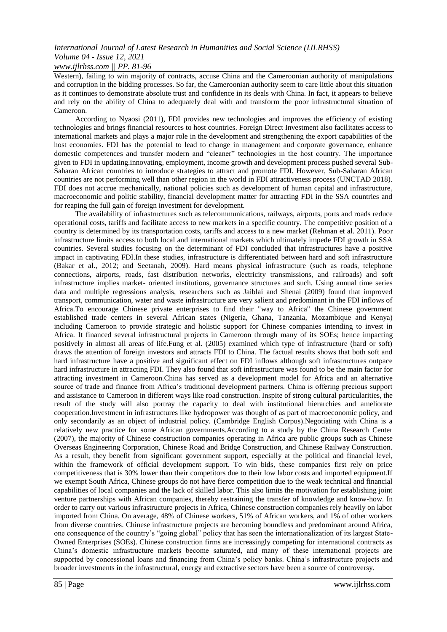*www.ijlrhss.com || PP. 81-96*

Western), failing to win majority of contracts, accuse China and the Cameroonian authority of manipulations and corruption in the bidding processes. So far, the Cameroonian authority seem to care little about this situation as it continues to demonstrate absolute trust and confidence in its deals with China. In fact, it appears to believe and rely on the ability of China to adequately deal with and transform the poor infrastructural situation of Cameroon.

According to Nyaosi (2011), FDI provides new technologies and improves the efficiency of existing technologies and brings financial resources to host countries. Foreign Direct Investment also facilitates access to international markets and plays a major role in the development and strengthening the export capabilities of the host economies. FDI has the potential to lead to change in management and corporate governance, enhance domestic competences and transfer modern and "cleaner" technologies in the host country. The importance given to FDI in updating.innovating, employment, income growth and development process pushed several Sub-Saharan African countries to introduce strategies to attract and promote FDI. However, Sub-Saharan African countries are not performing well than other region in the world in FDI attractiveness process (UNCTAD 2018). FDI does not accrue mechanically, national policies such as development of human capital and infrastructure, macroeconomic and politic stability, financial development matter for attracting FDI in the SSA countries and for reaping the full gain of foreign investment for development.

The availability of infrastructures such as telecommunications, railways, airports, ports and roads reduce operational costs, tariffs and facilitate access to new markets in a specific country. The competitive position of a country is determined by its transportation costs, tariffs and access to a new market (Rehman et al. 2011). Poor infrastructure limits access to both local and international markets which ultimately impede FDI growth in SSA countries. Several studies focusing on the determinant of FDI concluded that infrastructures have a positive impact in captivating FDI.In these studies, infrastructure is differentiated between hard and soft infrastructure (Bakar et al., 2012; and Seetanah, 2009). Hard means physical infrastructure (such as roads, telephone connections, airports, roads, fast distribution networks, electricity transmissions, and railroads) and soft infrastructure implies market- oriented institutions, governance structures and such. Using annual time series data and multiple regressions analysis, researchers such as Jaiblai and Shenai (2009) found that improved transport, communication, water and waste infrastructure are very salient and predominant in the FDI inflows of Africa.To encourage Chinese private enterprises to find their "way to Africa" the Chinese government established trade centers in several African states (Nigeria, Ghana, Tanzania, Mozambique and Kenya) including Cameroon to provide strategic and holistic support for Chinese companies intending to invest in Africa. It financed several infrastructural projects in Cameroon through many of its SOEs; hence impacting positively in almost all areas of life.Fung et al. (2005) examined which type of infrastructure (hard or soft) draws the attention of foreign investors and attracts FDI to China. The factual results shows that both soft and hard infrastructure have a positive and significant effect on FDI inflows although soft infrastructures outpace hard infrastructure in attracting FDI. They also found that soft infrastructure was found to be the main factor for attracting investment in Cameroon.China has served as a development model for Africa and an alternative source of trade and finance from Africa's traditional development partners. China is offering precious support and assistance to Cameroon in different ways like road construction. Inspite of strong cultural particularities, the result of the study will also portray the capacity to deal with institutional hierarchies and ameliorate cooperation.Investment in infrastructures like hydropower was thought of as part of macroeconomic policy, and only secondarily as an object of industrial policy. (Cambridge English Corpus).Negotiating with China is a relatively new practice for some African governments.According to a study by the China Research Center (2007), the majority of Chinese construction companies operating in Africa are public groups such as Chinese Overseas Engineering Corporation, Chinese Road and Bridge Construction, and Chinese Railway Construction. As a result, they benefit from significant government support, especially at the political and financial level, within the framework of official development support. To win bids, these companies first rely on price competitiveness that is 30% lower than their competitors due to their low labor costs and imported equipment.If we exempt South Africa, Chinese groups do not have fierce competition due to the weak technical and financial capabilities of local companies and the lack of skilled labor. This also limits the motivation for establishing joint venture partnerships with African companies, thereby restraining the transfer of knowledge and know-how. In order to carry out various infrastructure projects in Africa, Chinese construction companies rely heavily on labor imported from China. On average, 48% of Chinese workers, 51% of African workers, and 1% of other workers from diverse countries. Chinese infrastructure projects are becoming boundless and predominant around Africa, one consequence of the country's "going global" policy that has seen the internationalization of its largest State-Owned Enterprises (SOEs). Chinese construction firms are increasingly competing for international contracts as China's domestic infrastructure markets become saturated, and many of these international projects are supported by concessional loans and financing from China's policy banks. China's infrastructure projects and broader investments in the infrastructural, energy and extractive sectors have been a source of controversy.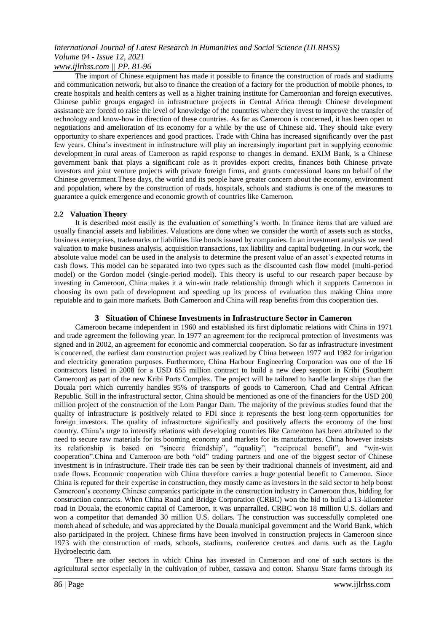*www.ijlrhss.com || PP. 81-96*

The import of Chinese equipment has made it possible to finance the construction of roads and stadiums and communication network, but also to finance the creation of a factory for the production of mobile phones, to create hospitals and health centers as well as a higher training institute for Cameroonian and foreign executives. Chinese public groups engaged in infrastructure projects in Central Africa through Chinese development assistance are forced to raise the level of knowledge of the countries where they invest to improve the transfer of technology and know-how in direction of these countries. As far as Cameroon is concerned, it has been open to negotiations and amelioration of its economy for a while by the use of Chinese aid. They should take every opportunity to share experiences and good practices. Trade with China has increased significantly over the past few years. China's investment in infrastructure will play an increasingly important part in supplying economic development in rural areas of Cameroon as rapid response to changes in demand. EXIM Bank, is a Chinese government bank that plays a significant role as it provides export credits, finances both Chinese private investors and joint venture projects with private foreign firms, and grants concessional loans on behalf of the Chinese government.These days, the world and its people have greater concern about the economy, environment and population, where by the construction of roads, hospitals, schools and stadiums is one of the measures to guarantee a quick emergence and economic growth of countries like Cameroon.

## **2.2 Valuation Theory**

It is described most easily as the evaluation of something's worth. In finance items that are valued are usually financial assets and liabilities. Valuations are done when we consider the worth of assets such as stocks, business enterprises, trademarks or liabilities like bonds issued by companies. In an investment analysis we need valuation to make business analysis, acquisition transactions, tax liability and capital budgeting. In our work, the absolute value model can be used in the analysis to determine the present value of an asset's expected returns in cash flows. This model can be separated into two types such as the discounted cash flow model (multi-period model) or the Gordon model (single-period model). This theory is useful to our research paper because by investing in Cameroon, China makes it a win-win trade relationship through which it supports Cameroon in choosing its own path of development and speeding up its process of evaluation thus making China more reputable and to gain more markets. Both Cameroon and China will reap benefits from this cooperation ties.

# **3 Situation of Chinese Investments in Infrastructure Sector in Cameron**

Cameroon became independent in 1960 and established its first diplomatic relations with China in 1971 and trade agreement the following year. In 1977 an agreement for the reciprocal protection of investments was signed and in 2002, an agreement for economic and commercial cooperation. So far as infrastructure investment is concerned, the earliest dam construction project was realized by China between 1977 and 1982 for irrigation and electricity generation purposes. Furthermore, China Harbour Engineering Corporation was one of the 16 contractors listed in 2008 for a USD 655 million contract to build a new deep seaport in Kribi (Southern Cameroon) as part of the new Kribi Ports Complex. The project will be tailored to handle larger ships than the Douala port which currently handles 95% of transports of goods to Cameroon, Chad and Central African Republic. Still in the infrastructural sector, China should be mentioned as one of the financiers for the USD 200 million project of the construction of the Lom Pangar Dam. The majority of the previous studies found that the quality of infrastructure is positively related to FDI since it represents the best long-term opportunities for foreign investors. The quality of infrastructure significally and positively affects the economy of the host country. China's urge to intensify relations with developing countries like Cameroon has been attributed to the need to secure raw materials for its booming economy and markets for its manufactures. China however insists its relationship is based on "sincere friendship", "equality", "reciprocal benefit", and "win-win cooperation".China and Cameroon are both "old" trading partners and one of the biggest sector of Chinese investment is in infrastructure. Their trade ties can be seen by their traditional channels of investment, aid and trade flows. Economic cooperation with China therefore carries a huge potential benefit to Cameroon. Since China is reputed for their expertise in construction, they mostly came as investors in the said sector to help boost Cameroon's economy.Chinese companies participate in the construction industry in Cameroon thus, bidding for construction contracts. When China Road and Bridge Corporation (CRBC) won the bid to build a 13-kilometer road in Douala, the economic capital of Cameroon, it was unparralled. CRBC won 18 million U.S. dollars and won a competitor that demanded 30 million U.S. dollars. The construction was successfully completed one month ahead of schedule, and was appreciated by the Douala municipal government and the World Bank, which also participated in the project. Chinese firms have been involved in construction projects in Cameroon since 1973 with the construction of roads, schools, stadiums, conference centres and dams such as the Lagdo Hydroelectric dam.

There are other sectors in which China has invested in Cameroon and one of such sectors is the agricultural sector especially in the cultivation of rubber, cassava and cotton. Shanxu State farms through its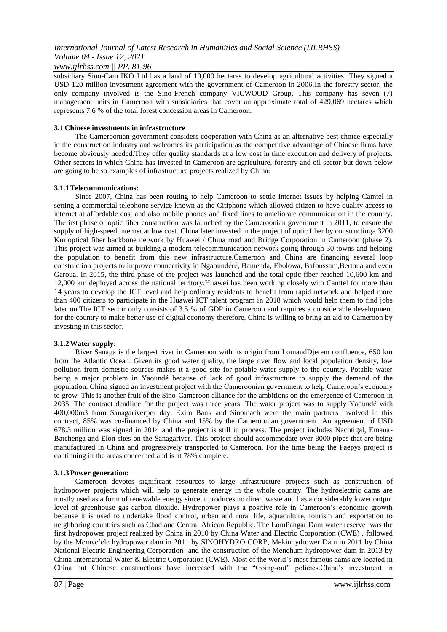# *www.ijlrhss.com || PP. 81-96*

subsidiary Sino-Cam IKO Ltd has a land of 10,000 hectares to develop agricultural activities. They signed a USD 120 million investment agreement with the government of Cameroon in 2006.In the forestry sector, the only company involved is the Sino-French company VICWOOD Group. This company has seven (7) management units in Cameroon with subsidiaries that cover an approximate total of 429,069 hectares which represents 7.6 % of the total forest concession areas in Cameroon.

## **3.1 Chinese investments in infrastructure**

The Cameroonian government considers cooperation with China as an alternative best choice especially in the construction industry and welcomes its participation as the competitive advantage of Chinese firms have become obviously needed.They offer quality standards at a low cost in time execution and delivery of projects. Other sectors in which China has invested in Cameroon are agriculture, forestry and oil sector but down below are going to be so examples of infrastructure projects realized by China:

#### **3.1.1Telecommunications:**

Since 2007, China has been routing to help Cameroon to settle internet issues by helping Camtel in setting a commercial telephone service known as the Citiphone which allowed citizen to have quality access to internet at affordable cost and also mobile phones and fixed lines to ameliorate communication in the country. Thefirst phase of optic fiber construction was launched by the Cameroonian government in 2011, to ensure the supply of high-speed internet at low cost. China later invested in the project of optic fiber by constructinga 3200 Km optical fiber backbone network by Huawei / China road and Bridge Corporation in Cameroon (phase 2). This project was aimed at building a modern telecommunication network going through 30 towns and helping the population to benefit from this new infrastructure.Cameroon and China are financing several loop construction projects to improve connectivity in Ngaoundéré, Bamenda, Ebolowa, Bafoussam,Bertoua and even Garoua. In 2015, the third phase of the project was launched and the total optic fiber reached 10,600 km and 12,000 km deployed across the national territory.Huawei has been working closely with Camtel for more than 14 years to develop the ICT level and help ordinary residents to benefit from rapid network and helped more than 400 citizens to participate in the Huawei ICT talent program in 2018 which would help them to find jobs later on.The ICT sector only consists of 3.5 % of GDP in Cameroon and requires a considerable development for the country to make better use of digital economy therefore, China is willing to bring an aid to Cameroon by investing in this sector.

## **3.1.2Water supply:**

River Sanaga is the largest river in Cameroon with its origin from LomandDjerem confluence, 650 km from the Atlantic Ocean. Given its good water quality, the large river flow and local population density, low pollution from domestic sources makes it a good site for potable water supply to the country. Potable water being a major problem in Yaoundé because of lack of good infrastructure to supply the demand of the population, China signed an investment project with the Cameroonian government to help Cameroon's economy to grow. This is another fruit of the Sino-Cameroon alliance for the ambitions on the emergence of Cameroon in 2035. The contract deadline for the project was three years. The water project was to supply Yaoundé with 400,000m3 from Sanagariverper day. Exim Bank and Sinomach were the main partners involved in this contract, 85% was co-financed by China and 15% by the Cameroonian government. An agreement of USD 678.3 million was signed in 2014 and the project is still in process. The project includes Nachtigal, Emana-Batchenga and Elon sites on the Sanagariver. This project should accommodate over 8000 pipes that are being manufactured in China and progressively transported to Cameroon. For the time being the Paepys project is continuing in the areas concerned and is at 78% complete.

## **3.1.3Power generation:**

Cameroon devotes significant resources to large infrastructure projects such as construction of hydropower projects which will help to generate energy in the whole country. The hydroelectric dams are mostly used as a form of renewable energy since it produces no direct waste and has a considerably lower output level of greenhouse gas carbon dioxide. Hydropower plays a positive role in Cameroon's economic growth because it is used to undertake flood control, urban and rural life, aquaculture, tourism and exportation to neighboring countries such as Chad and Central African Republic. The LomPangar Dam water reserve was the first hydropower project realized by China in 2010 by China Water and Electric Corporation (CWE) , followed by the Memve'ele hydropower dam in 2011 by SINOHYDRO CORP, Mekinhydrower Dam in 2011 by China National Electric Engineering Corporation and the construction of the Menchum hydropower dam in 2013 by China International Water & Electric Corporation (CWE). Most of the world's most famous dams are located in China but Chinese constructions have increased with the "Going-out" policies.China's investment in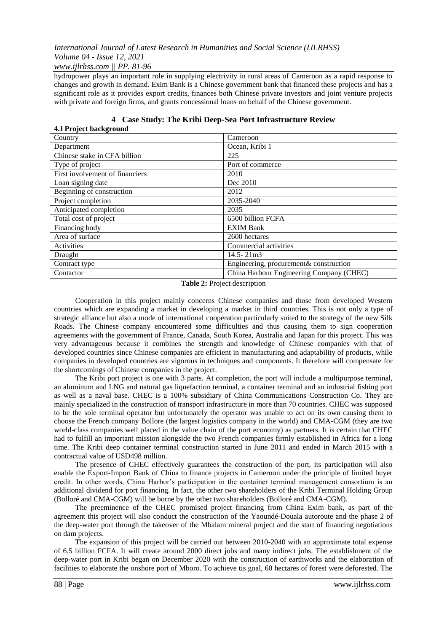## *www.ijlrhss.com || PP. 81-96*

hydropower plays an important role in supplying electrivity in rural areas of Cameroon as a rapid response to changes and growth in demand. Exim Bank is a Chinese government bank that financed these projects and has a significant role as it provides export credits, finances both Chinese private investors and joint venture projects with private and foreign firms, and grants concessional loans on behalf of the Chinese government.

| 7.1 I LUJUL DAUNGLUUIIU         |                                          |
|---------------------------------|------------------------------------------|
| Country                         | Cameroon                                 |
| Department                      | Ocean, Kribi 1                           |
| Chinese stake in CFA billion    | 225                                      |
| Type of project                 | Port of commerce                         |
| First involvement of financiers | 2010                                     |
| Loan signing date               | Dec 2010                                 |
| Beginning of construction       | 2012                                     |
| Project completion              | 2035-2040                                |
| Anticipated completion          | 2035                                     |
| Total cost of project           | 6500 billion FCFA                        |
| Financing body                  | <b>EXIM Bank</b>                         |
| Area of surface                 | 2600 hectares                            |
| Activities                      | Commercial activities                    |
| Draught                         | $14.5 - 21m3$                            |
| Contract type                   | Engineering, procurement& construction   |
| Contactor                       | China Harbour Engineering Company (CHEC) |
|                                 |                                          |

#### **4 Case Study: The Kribi Deep-Sea Port Infrastructure Review 4.1 Project background**

**Table 2:** Project description

Cooperation in this project mainly concerns Chinese companies and those from developed Western countries which are expanding a market in developing a market in third countries. This is not only a type of strategic alliance but also a mode of international cooperation particularly suited to the strategy of the new Silk Roads. The Chinese company encountered some difficulties and thus causing them to sign cooperation agreements with the government of France, Canada, South Korea, Australia and Japan for this project. This was very advantageous because it combines the strength and knowledge of Chinese companies with that of developed countries since Chinese companies are efficient in manufacturing and adaptability of products, while companies in developed countries are vigorous in techniques and components. It therefore will compensate for the shortcomings of Chinese companies in the project.

The Kribi port project is one with 3 parts. At completion, the port will include a multipurpose terminal, an aluminum and LNG and natural gas liquefaction terminal, a container terminal and an industrial fishing port as well as a naval base. CHEC is a 100% subsidiary of China Communications Construction Co. They are mainly specialized in the construction of transport infrastructure in more than 70 countries. CHEC was supposed to be the sole terminal operator but unfortunately the operator was unable to act on its own causing them to choose the French company Bollore (the largest logistics company in the world) and CMA-CGM (they are two world-class companies well placed in the value chain of the port economy) as partners. It is certain that CHEC had to fulfill an important mission alongside the two French companies firmly established in Africa for a long time. The Kribi deep container terminal construction started in June 2011 and ended in March 2015 with a contractual value of USD498 million.

The presence of CHEC effectively guarantees the construction of the port, its participation will also enable the Export-Import Bank of China to finance projects in Cameroon under the principle of limited buyer credit. In other words, China Harbor's participation in the container terminal management consortium is an additional dividend for port financing. In fact, the other two shareholders of the Kribi Terminal Holding Group (Bolloré and CMA-CGM) will be borne by the other two shareholders (Bolloré and CMA-CGM).

The preeminence of the CHEC promised project financing from China Exim bank, as part of the agreement this project will also conduct the construction of the Yaoundé-Douala autoroute and the phase 2 of the deep-water port through the takeover of the Mbalam mineral project and the start of financing negotiations on dam projects.

The expansion of this project will be carried out between 2010-2040 with an approximate total expense of 6.5 billion FCFA. It will create around 2000 direct jobs and many indirect jobs. The establishment of the deep-water port in Kribi began on December 2020 with the construction of earthworks and the elaboration of facilities to elaborate the onshore port of Mboro. To achieve tis goal, 60 hectares of forest were deforested. The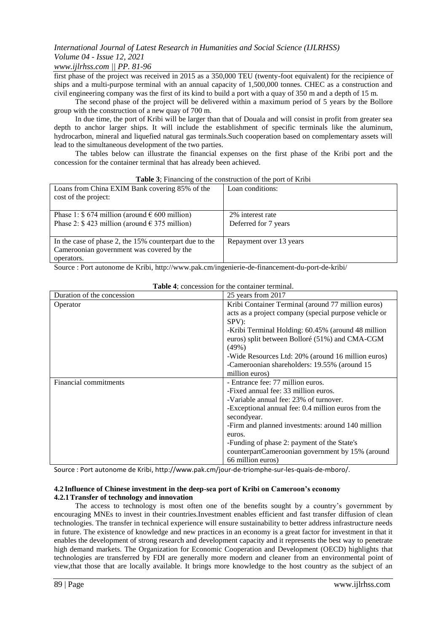# *www.ijlrhss.com || PP. 81-96*

first phase of the project was received in 2015 as a 350,000 TEU (twenty-foot equivalent) for the recipience of ships and a multi-purpose terminal with an annual capacity of 1,500,000 tonnes. CHEC as a construction and civil engineering company was the first of its kind to build a port with a quay of 350 m and a depth of 15 m.

The second phase of the project will be delivered within a maximum period of 5 years by the Bollore group with the construction of a new quay of 700 m.

In due time, the port of Kribi will be larger than that of Douala and will consist in profit from greater sea depth to anchor larger ships. It will include the establishment of specific terminals like the aluminum, hydrocarbon, mineral and liquefied natural gas terminals.Such cooperation based on complementary assets will lead to the simultaneous development of the two parties.

The tables below can illustrate the financial expenses on the first phase of the Kribi port and the concession for the container terminal that has already been achieved.

| Loans from China EXIM Bank covering 85% of the<br>cost of the project: | Loan conditions:        |
|------------------------------------------------------------------------|-------------------------|
| Phase 1: $$674$ million (around $$600$ million)                        | 2\% interest rate       |
| Phase 2: $$423$ million (around $$375$ million)                        | Deferred for 7 years    |
|                                                                        |                         |
| In the case of phase 2, the 15% counterpart due to the                 | Repayment over 13 years |
| Cameroonian government was covered by the                              |                         |
| operators.                                                             |                         |
| $\mathbf{r}$ . The set of $\mathbf{r}$                                 |                         |

**Table 3**; Financing of the construction of the port of Kribi

Source : Port autonome de Kribi, http://www.pak.cm/ingenierie-de-financement-du-port-de-kribi/

| Duration of the concession | 25 years from 2017                                    |
|----------------------------|-------------------------------------------------------|
| Operator                   | Kribi Container Terminal (around 77 million euros)    |
|                            | acts as a project company (special purpose vehicle or |
|                            | $SPV$ :                                               |
|                            | -Kribi Terminal Holding: 60.45% (around 48 million    |
|                            | euros) split between Bolloré (51%) and CMA-CGM        |
|                            | $(49\%)$                                              |
|                            | -Wide Resources Ltd: 20% (around 16 million euros)    |
|                            | -Cameroonian shareholders: 19.55% (around 15)         |
|                            | million euros)                                        |
| Financial commitments      | - Entrance fee: 77 million euros.                     |
|                            | -Fixed annual fee: 33 million euros.                  |
|                            | -Variable annual fee: 23% of turnover.                |
|                            | -Exceptional annual fee: 0.4 million euros from the   |
|                            | secondyear.                                           |
|                            | -Firm and planned investments: around 140 million     |
|                            | euros.                                                |
|                            | -Funding of phase 2: payment of the State's           |
|                            | counterpartCameroonian government by 15% (around      |
|                            | 66 million euros)                                     |

**Table 4**; concession for the container terminal.

Source : Port autonome de Kribi, http://www.pak.cm/jour-de-triomphe-sur-les-quais-de-mboro/.

## **4.2 Influence of Chinese investment in the deep-sea port of Kribi on Cameroon's economy 4.2.1Transfer of technology and innovation**

The access to technology is most often one of the benefits sought by a country's government by encouraging MNEs to invest in their countries.Investment enables efficient and fast transfer diffusion of clean technologies. The transfer in technical experience will ensure sustainability to better address infrastructure needs in future. The existence of knowledge and new practices in an economy is a great factor for investment in that it enables the development of strong research and development capacity and it represents the best way to penetrate high demand markets. The Organization for Economic Cooperation and Development (OECD) highlights that technologies are transferred by FDI are generally more modern and cleaner from an environmental point of view,that those that are locally available. It brings more knowledge to the host country as the subject of an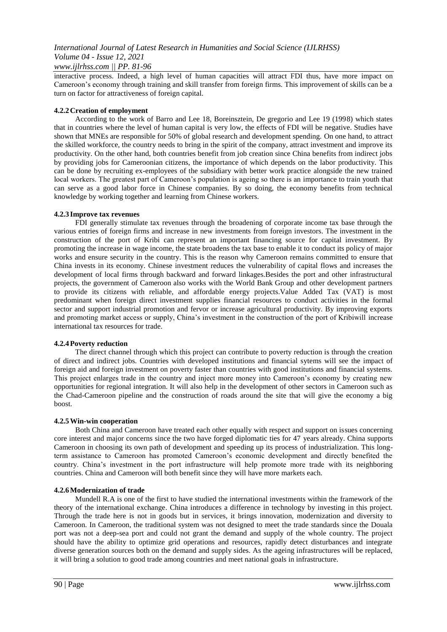# *www.ijlrhss.com || PP. 81-96*

interactive process. Indeed, a high level of human capacities will attract FDI thus, have more impact on Cameroon's economy through training and skill transfer from foreign firms. This improvement of skills can be a turn on factor for attractiveness of foreign capital.

## **4.2.2Creation of employment**

According to the work of Barro and Lee 18, Boreinsztein, De gregorio and Lee 19 (1998) which states that in countries where the level of human capital is very low, the effects of FDI will be negative. Studies have shown that MNEs are responsible for 50% of global research and development spending. On one hand, to attract the skilled workforce, the country needs to bring in the spirit of the company, attract investment and improve its productivity. On the other hand, both countries benefit from job creation since China benefits from indirect jobs by providing jobs for Cameroonian citizens, the importance of which depends on the labor productivity. This can be done by recruiting ex-employees of the subsidiary with better work practice alongside the new trained local workers. The greatest part of Cameroon's population is ageing so there is an importance to train youth that can serve as a good labor force in Chinese companies. By so doing, the economy benefits from technical knowledge by working together and learning from Chinese workers.

# **4.2.3 Improve tax revenues**

FDI generally stimulate tax revenues through the broadening of corporate income tax base through the various entries of foreign firms and increase in new investments from foreign investors. The investment in the construction of the port of Kribi can represent an important financing source for capital investment. By promoting the increase in wage income, the state broadens the tax base to enable it to conduct its policy of major works and ensure security in the country. This is the reason why Cameroon remains committed to ensure that China invests in its economy. Chinese investment reduces the vulnerability of capital flows and increases the development of local firms through backward and forward linkages.Besides the port and other infrastructural projects, the government of Cameroon also works with the World Bank Group and other development partners to provide its citizens with reliable, and affordable energy projects.Value Added Tax (VAT) is most predominant when foreign direct investment supplies financial resources to conduct activities in the formal sector and support industrial promotion and fervor or increase agricultural productivity. By improving exports and promoting market access or supply, China's investment in the construction of the port of Kribiwill increase international tax resources for trade.

# **4.2.4Poverty reduction**

The direct channel through which this project can contribute to poverty reduction is through the creation of direct and indirect jobs. Countries with developed institutions and financial sytems will see the impact of foreign aid and foreign investment on poverty faster than countries with good institutions and financial systems. This project enlarges trade in the country and inject more money into Cameroon's economy by creating new opportunities for regional integration. It will also help in the development of other sectors in Cameroon such as the Chad-Cameroon pipeline and the construction of roads around the site that will give the economy a big boost.

## **4.2.5Win-win cooperation**

Both China and Cameroon have treated each other equally with respect and support on issues concerning core interest and major concerns since the two have forged diplomatic ties for 47 years already. China supports Cameroon in choosing its own path of development and speeding up its process of industrialization. This longterm assistance to Cameroon has promoted Cameroon's economic development and directly benefited the country. China's investment in the port infrastructure will help promote more trade with its neighboring countries. China and Cameroon will both benefit since they will have more markets each.

## **4.2.6Modernization of trade**

Mundell R.A is one of the first to have studied the international investments within the framework of the theory of the international exchange. China introduces a difference in technology by investing in this project. Through the trade here is not in goods but in services, it brings innovation, modernization and diversity to Cameroon. In Cameroon, the traditional system was not designed to meet the trade standards since the Douala port was not a deep-sea port and could not grant the demand and supply of the whole country. The project should have the ability to optimize grid operations and resources, rapidly detect disturbances and integrate diverse generation sources both on the demand and supply sides. As the ageing infrastructures will be replaced, it will bring a solution to good trade among countries and meet national goals in infrastructure.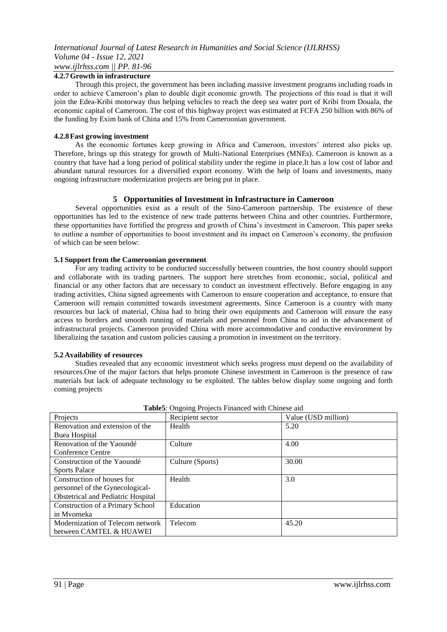# **4.2.7Growth in infrastructure**

Through this project, the government has been including massive investment programs including roads in order to achieve Cameroon's plan to double digit economic growth. The projections of this road is that it will join the Edea-Kribi motorway thus helping vehicles to reach the deep sea water port of Kribi from Douala, the economic capital of Cameroon. The cost of this highway project was estimated at FCFA 250 billion with 86% of the funding by Exim bank of China and 15% from Cameroonian government.

## **4.2.8Fast growing investment**

As the economic fortunes keep growing in Africa and Cameroon, investors' interest also picks up. Therefore, brings up this strategy for growth of Multi-National Enterprises (MNEs). Cameroon is known as a country that have had a long period of political stability under the regime in place.It has a low cost of labor and abundant natural resources for a diversified export economy. With the help of loans and investments, many ongoing infrastructure modernization projects are being put in place.

# **5 Opportunities of Investment in Infrastructure in Cameroon**

Several opportunities exist as a result of the Sino-Cameroon partnership. The existence of these opportunities has led to the existence of new trade patterns between China and other countries. Furthermore, these opportunities have fortified the progress and growth of China's investment in Cameroon. This paper seeks to outline a number of opportunities to boost investment and its impact on Cameroon's economy, the profusion of which can be seen below:

## **5.1 Support from the Cameroonian government**

For any trading activity to be conducted successfully between countries, the host country should support and collaborate with its trading partners. The support here stretches from economic, social, political and financial or any other factors that are necessary to conduct an investment effectively. Before engaging in any trading activities, China signed agreements with Cameroon to ensure cooperation and acceptance, to ensure that Cameroon will remain committed towards investment agreements. Since Cameroon is a country with many resources but lack of material, China had to bring their own equipments and Cameroon will ensure the easy access to borders and smooth running of materials and personnel from China to aid in the advancement of infrastructural projects. Cameroon provided China with more accommodative and conductive environment by liberalizing the taxation and custom policies causing a promotion in investment on the territory.

## **5.2 Availability of resources**

Studies revealed that any economic investment which seeks progress must depend on the availability of resources.One of the major factors that helps promote Chinese investment in Cameroon is the presence of raw materials but lack of adequate technology to be exploited. The tables below display some ongoing and forth coming projects

| Projects                           | Recipient sector | Value (USD million) |
|------------------------------------|------------------|---------------------|
| Renovation and extension of the    | Health           | 5.20                |
| Buea Hospital                      |                  |                     |
| Renovation of the Yaoundé          | Culture          | 4.00                |
| Conference Centre                  |                  |                     |
| Construction of the Yaoundé        | Culture (Sports) | 30.00               |
| <b>Sports Palace</b>               |                  |                     |
| Construction of houses for         | Health           | 3.0                 |
| personnel of the Gynecological-    |                  |                     |
| Obstetrical and Pediatric Hospital |                  |                     |
| Construction of a Primary School   | Education        |                     |
| in Myomeka                         |                  |                     |
| Modernization of Telecom network   | Telecom          | 45.20               |
| between CAMTEL & HUAWEI            |                  |                     |

**Table5**: Ongoing Projects Financed with Chinese aid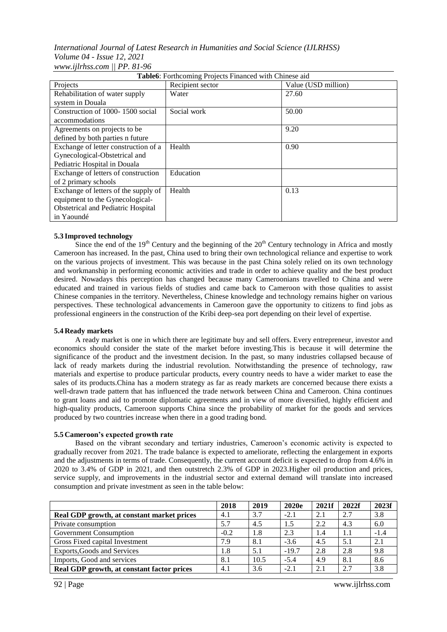# *International Journal of Latest Research in Humanities and Social Science (IJLRHSS) Volume 04 - Issue 12, 2021 www.ijlrhss.com || PP. 81-96*

| Table6: Forthcoming Projects Financed with Chinese aid |                  |                     |  |  |  |
|--------------------------------------------------------|------------------|---------------------|--|--|--|
| Projects                                               | Recipient sector | Value (USD million) |  |  |  |
| Rehabilitation of water supply                         | Water            | 27.60               |  |  |  |
| system in Douala                                       |                  |                     |  |  |  |
| Construction of 1000-1500 social                       | Social work      | 50.00               |  |  |  |
| accommodations                                         |                  |                     |  |  |  |
| Agreements on projects to be                           |                  | 9.20                |  |  |  |
| defined by both parties n future                       |                  |                     |  |  |  |
| Exchange of letter construction of a                   | Health           | 0.90                |  |  |  |
| Gynecological-Obstetrical and                          |                  |                     |  |  |  |
| Pediatric Hospital in Douala                           |                  |                     |  |  |  |
| Exchange of letters of construction                    | Education        |                     |  |  |  |
| of 2 primary schools                                   |                  |                     |  |  |  |
| Exchange of letters of the supply of                   | Health           | 0.13                |  |  |  |
| equipment to the Gynecological-                        |                  |                     |  |  |  |
| <b>Obstetrical and Pediatric Hospital</b>              |                  |                     |  |  |  |
| in Yaoundé                                             |                  |                     |  |  |  |

# **5.3 Improved technology**

Since the end of the  $19<sup>th</sup>$  Century and the beginning of the  $20<sup>th</sup>$  Century technology in Africa and mostly Cameroon has increased. In the past, China used to bring their own technological reliance and expertise to work on the various projects of investment. This was because in the past China solely relied on its own technology and workmanship in performing economic activities and trade in order to achieve quality and the best product desired. Nowadays this perception has changed because many Cameroonians travelled to China and were educated and trained in various fields of studies and came back to Cameroon with those qualities to assist Chinese companies in the territory. Nevertheless, Chinese knowledge and technology remains higher on various perspectives. These technological advancements in Cameroon gave the opportunity to citizens to find jobs as professional engineers in the construction of the Kribi deep-sea port depending on their level of expertise.

## **5.4 Ready markets**

A ready market is one in which there are legitimate buy and sell offers. Every entrepreneur, investor and economics should consider the state of the market before investing.This is because it will determine the significance of the product and the investment decision. In the past, so many industries collapsed because of lack of ready markets during the industrial revolution. Notwithstanding the presence of technology, raw materials and expertise to produce particular products, every country needs to have a wider market to ease the sales of its products.China has a modern strategy as far as ready markets are concerned because there exists a well-drawn trade pattern that has influenced the trade network between China and Cameroon. China continues to grant loans and aid to promote diplomatic agreements and in view of more diversified, highly efficient and high-quality products, Cameroon supports China since the probability of market for the goods and services produced by two countries increase when there in a good trading bond.

## **5.5 Cameroon's expected growth rate**

Based on the vibrant secondary and tertiary industries, Cameroon's economic activity is expected to gradually recover from 2021. The trade balance is expected to ameliorate, reflecting the enlargement in exports and the adjustments in terms of trade. Consequently, the current account deficit is expected to drop from 4.6% in 2020 to 3.4% of GDP in 2021, and then outstretch 2.3% of GDP in 2023.Higher oil production and prices, service supply, and improvements in the industrial sector and external demand will translate into increased consumption and private investment as seen in the table below:

|                                            | 2018   | 2019 | 2020e   | 2021f | 2022f | 2023f  |
|--------------------------------------------|--------|------|---------|-------|-------|--------|
| Real GDP growth, at constant market prices | 4.1    | 3.7  | $-2.1$  | 2.1   | 2.7   | 3.8    |
| Private consumption                        | 5.7    | 4.5  | 1.5     | 2.2   | 4.3   | 6.0    |
| Government Consumption                     | $-0.2$ | 1.8  | 2.3     | 1.4   | 1.1   | $-1.4$ |
| Gross Fixed capital Investment             | 7.9    | 8.1  | $-3.6$  | 4.5   | 5.1   | 2.1    |
| Exports, Goods and Services                | 1.8    | 5.1  | $-19.7$ | 2.8   | 2.8   | 9.8    |
| Imports, Good and services                 | 8.1    | 10.5 | $-5.4$  | 4.9   | 8.1   | 8.6    |
| Real GDP growth, at constant factor prices | 4.1    | 3.6  | $-2.1$  | 2.1   | 2.7   | 3.8    |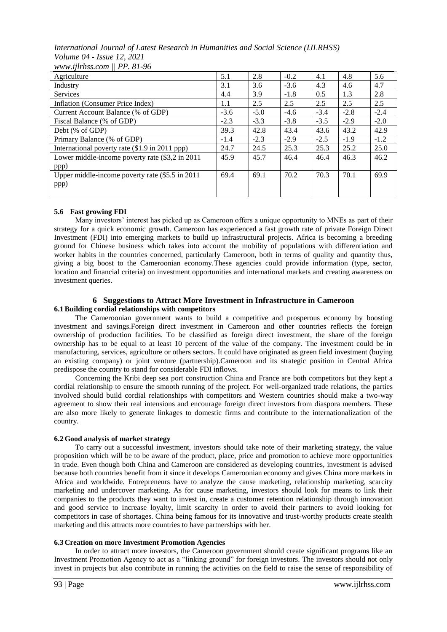*International Journal of Latest Research in Humanities and Social Science (IJLRHSS) Volume 04 - Issue 12, 2021 www.ijlrhss.com || PP. 81-96*

| $\mathbf{11}$                                    |        |        |        |        |        |        |
|--------------------------------------------------|--------|--------|--------|--------|--------|--------|
| Agriculture                                      | 5.1    | 2.8    | $-0.2$ | 4.1    | 4.8    | 5.6    |
| Industry                                         | 3.1    | 3.6    | $-3.6$ | 4.3    | 4.6    | 4.7    |
| <b>Services</b>                                  | 4.4    | 3.9    | $-1.8$ | 0.5    | 1.3    | 2.8    |
| Inflation (Consumer Price Index)                 | 1.1    | 2.5    | 2.5    | 2.5    | 2.5    | 2.5    |
| Current Account Balance (% of GDP)               | $-3.6$ | $-5.0$ | $-4.6$ | $-3.4$ | $-2.8$ | $-2.4$ |
| Fiscal Balance (% of GDP)                        | $-2.3$ | $-3.3$ | $-3.8$ | $-3.5$ | $-2.9$ | $-2.0$ |
| Debt (% of GDP)                                  | 39.3   | 42.8   | 43.4   | 43.6   | 43.2   | 42.9   |
| Primary Balance (% of GDP)                       | $-1.4$ | $-2.3$ | $-2.9$ | $-2.5$ | $-1.9$ | $-1.2$ |
| International poverty rate (\$1.9 in 2011 ppp)   | 24.7   | 24.5   | 25.3   | 25.3   | 25.2   | 25.0   |
| Lower middle-income poverty rate (\$3,2 in 2011) | 45.9   | 45.7   | 46.4   | 46.4   | 46.3   | 46.2   |
| ppp)                                             |        |        |        |        |        |        |
| Upper middle-income poverty rate (\$5.5 in 2011  | 69.4   | 69.1   | 70.2   | 70.3   | 70.1   | 69.9   |
| ppp)                                             |        |        |        |        |        |        |
|                                                  |        |        |        |        |        |        |

# **5.6 Fast growing FDI**

Many investors' interest has picked up as Cameroon offers a unique opportunity to MNEs as part of their strategy for a quick economic growth. Cameroon has experienced a fast growth rate of private Foreign Direct Investment (FDI) into emerging markets to build up infrastructural projects. Africa is becoming a breeding ground for Chinese business which takes into account the mobility of populations with differentiation and worker habits in the countries concerned, particularly Cameroon, both in terms of quality and quantity thus, giving a big boost to the Cameroonian economy.These agencies could provide information (type, sector, location and financial criteria) on investment opportunities and international markets and creating awareness on investment queries.

## **6 Suggestions to Attract More Investment in Infrastructure in Cameroon 6.1Building cordial relationships with competitors**

The Cameroonian government wants to build a competitive and prosperous economy by boosting investment and savings.Foreign direct investment in Cameroon and other countries reflects the foreign ownership of production facilities. To be classified as foreign direct investment, the share of the foreign ownership has to be equal to at least 10 percent of the value of the company. The investment could be in manufacturing, services, agriculture or others sectors. It could have originated as green field investment (buying an existing company) or joint venture (partnership).Cameroon and its strategic position in Central Africa predispose the country to stand for considerable FDI inflows.

Concerning the Kribi deep sea port construction China and France are both competitors but they kept a cordial relationship to ensure the smooth running of the project. For well-organized trade relations, the parties involved should build cordial relationships with competitors and Western countries should make a two-way agreement to show their real intensions and encourage foreign direct investors from diaspora members. These are also more likely to generate linkages to domestic firms and contribute to the internationalization of the country.

# **6.2 Good analysis of market strategy**

To carry out a successful investment, investors should take note of their marketing strategy, the value proposition which will be to be aware of the product, place, price and promotion to achieve more opportunities in trade. Even though both China and Cameroon are considered as developing countries, investment is advised because both countries benefit from it since it develops Cameroonian economy and gives China more markets in Africa and worldwide. Entrepreneurs have to analyze the cause marketing, relationship marketing, scarcity marketing and undercover marketing. As for cause marketing, investors should look for means to link their companies to the products they want to invest in, create a customer retention relationship through innovation and good service to increase loyalty, limit scarcity in order to avoid their partners to avoid looking for competitors in case of shortages. China being famous for its innovative and trust-worthy products create stealth marketing and this attracts more countries to have partnerships with her.

# **6.3 Creation on more Investment Promotion Agencies**

In order to attract more investors, the Cameroon government should create significant programs like an Investment Promotion Agency to act as a "linking ground" for foreign investors. The investors should not only invest in projects but also contribute in running the activities on the field to raise the sense of responsibility of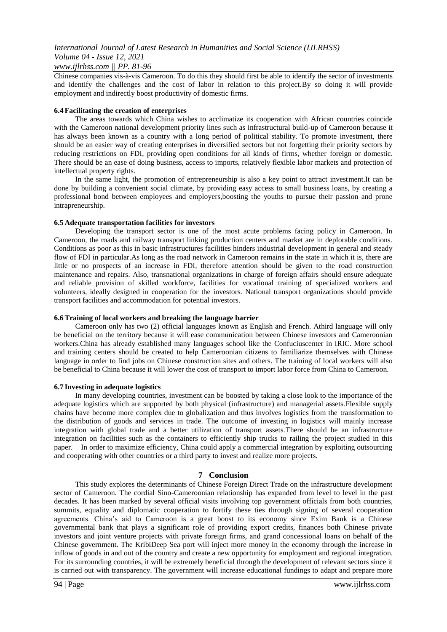## *www.ijlrhss.com || PP. 81-96*

Chinese companies vis-à-vis Cameroon. To do this they should first be able to identify the sector of investments and identify the challenges and the cost of labor in relation to this project.By so doing it will provide employment and indirectly boost productivity of domestic firms.

## **6.4 Facilitating the creation of enterprises**

The areas towards which China wishes to acclimatize its cooperation with African countries coincide with the Cameroon national development priority lines such as infrastructural build-up of Cameroon because it has always been known as a country with a long period of political stability. To promote investment, there should be an easier way of creating enterprises in diversified sectors but not forgetting their priority sectors by reducing restrictions on FDI, providing open conditions for all kinds of firms, whether foreign or domestic. There should be an ease of doing business, access to imports, relatively flexible labor markets and protection of intellectual property rights.

In the same light, the promotion of entrepreneurship is also a key point to attract investment.It can be done by building a convenient social climate, by providing easy access to small business loans, by creating a professional bond between employees and employers,boosting the youths to pursue their passion and prone intrapreneurship.

## **6.5 Adequate transportation facilities for investors**

Developing the transport sector is one of the most acute problems facing policy in Cameroon. In Cameroon, the roads and railway transport linking production centers and market are in deplorable conditions. Conditions as poor as this in basic infrastructures facilities hinders industrial development in general and steady flow of FDI in particular.As long as the road network in Cameroon remains in the state in which it is, there are little or no prospects of an increase in FDI, therefore attention should be given to the road construction maintenance and repairs. Also, transnational organizations in charge of foreign affairs should ensure adequate and reliable provision of skilled workforce, facilities for vocational training of specialized workers and volunteers, ideally designed in cooperation for the investors. National transport organizations should provide transport facilities and accommodation for potential investors.

#### **6.6Training of local workers and breaking the language barrier**

Cameroon only has two (2) official languages known as English and French. Athird language will only be beneficial on the territory because it will ease communication between Chinese investors and Cameroonian workers.China has already established many languages school like the Confuciuscenter in IRIC. More school and training centers should be created to help Cameroonian citizens to familiarize themselves with Chinese language in order to find jobs on Chinese construction sites and others. The training of local workers will also be beneficial to China because it will lower the cost of transport to import labor force from China to Cameroon.

## **6.7 Investing in adequate logistics**

In many developing countries, investment can be boosted by taking a close look to the importance of the adequate logistics which are supported by both physical (infrastructure) and managerial assets.Flexible supply chains have become more complex due to globalization and thus involves logistics from the transformation to the distribution of goods and services in trade. The outcome of investing in logistics will mainly increase integration with global trade and a better utilization of transport assets.There should be an infrastructure integration on facilities such as the containers to efficiently ship trucks to railing the project studied in this paper. In order to maximize efficiency, China could apply a commercial integration by exploiting outsourcing and cooperating with other countries or a third party to invest and realize more projects.

## **7 Conclusion**

This study explores the determinants of Chinese Foreign Direct Trade on the infrastructure development sector of Cameroon. The cordial Sino-Cameroonian relationship has expanded from level to level in the past decades. It has been marked by several official visits involving top government officials from both countries, summits, equality and diplomatic cooperation to fortify these ties through signing of several cooperation agreements. China's aid to Cameroon is a great boost to its economy since Exim Bank is a Chinese governmental bank that plays a significant role of providing export credits, finances both Chinese private investors and joint venture projects with private foreign firms, and grand concessional loans on behalf of the Chinese government. The KribiDeep Sea port will inject more money in the economy through the increase in inflow of goods in and out of the country and create a new opportunity for employment and regional integration. For its surrounding countries, it will be extremely beneficial through the development of relevant sectors since it is carried out with transparency. The government will increase educational fundings to adapt and prepare more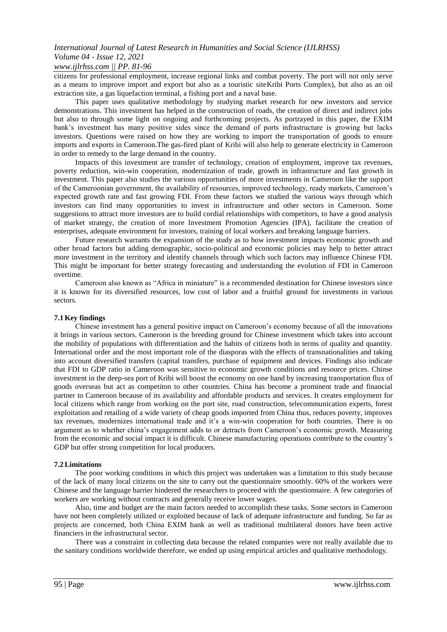# *www.ijlrhss.com || PP. 81-96*

citizens for professional employment, increase regional links and combat poverty. The port will not only serve as a means to improve import and export but also as a touristic siteKribi Ports Complex), but also as an oil extraction site, a gas liquefaction terminal, a fishing port and a naval base.

This paper uses qualitative methodology by studying market research for new investors and service demonstrations. This investment has helped in the construction of roads, the creation of direct and indirect jobs but also to through some light on ongoing and forthcoming projects. As portrayed in this paper, the EXIM bank's investment has many positive sides since the demand of ports infrastructure is growing but lacks investors. Questions were raised on how they are working to import the transportation of goods to ensure imports and exports in Cameroon.The gas-fired plant of Kribi will also help to generate electricity in Cameroon in order to remedy to the large demand in the country.

Impacts of this investment are transfer of technology, creation of employment, improve tax revenues, poverty reduction, win-win cooperation, modernization of trade, growth in infrastructure and fast growth in investment. This paper also studies the various opportunities of more investments in Cameroon like the support of the Cameroonian government, the availability of resources, improved technology, ready markets, Cameroon's expected growth rate and fast growing FDI. From these factors we studied the various ways through which investors can find many opportunities to invest in infrastructure and other sectors in Cameroon. Some suggestions to attract more investors are to build cordial relationships with competitors, to have a good analysis of market strategy, the creation of more Investment Promotion Agencies (IPA), facilitate the creation of enterprises, adequate environment for investors, training of local workers and breaking language barriers.

Future research warrants the expansion of the study as to how investment impacts economic growth and other broad factors but adding demographic, socio-political and economic policies may help to better attract more investment in the territory and identify channels through which such factors may influence Chinese FDI. This might be important for better strategy forecasting and understanding the evolution of FDI in Cameroon overtime.

Cameroon also known as "Africa in miniature" is a recommended destination for Chinese investors since it is known for its diversified resources, low cost of labor and a fruitful ground for investments in various sectors.

## **7.1 Key findings**

Chinese investment has a general positive impact on Cameroon's economy because of all the innovations it brings in various sectors. Cameroon is the breeding ground for Chinese investment which takes into account the mobility of populations with differentiation and the habits of citizens both in terms of quality and quantity. International order and the most important role of the diasporas with the effects of transnationalities and taking into account diversified transfers (capital transfers, purchase of equipment and devices. Findings also indicate that FDI to GDP ratio in Cameroon was sensitive to economic growth conditions and resource prices. Chinse investment in the deep-sea port of Kribi will boost the economy on one hand by increasing transportation flux of goods overseas but act as competiton to other countries. China has become a prominent trade and financial partner to Cameroon because of its availability and affordable products and services. It creates employment for local citizens which range from working on the port site, road construction, telecommunication experts, forest exploitation and retailing of a wide variety of cheap goods imported from China thus, reduces poverty, improves tax revenues, modernizes international trade and it's a win-win cooperation for both countries. There is no argument as to whether china's engagement adds to or detracts from Cameroon's economic growth. Measuring from the economic and social impact it is difficult. Chinese manufacturing operations contribute to the country's GDP but offer strong competition for local producers.

## **7.2Limitations**

The poor working conditions in which this project was undertaken was a limitation to this study because of the lack of many local citizens on the site to carry out the questionnaire smoothly. 60% of the workers were Chinese and the language barrier hindered the researchers to proceed with the questionnaire. A few categories of workers are working without contracts and generally receive lower wages.

Also, time and budget are the main factors needed to accomplish these tasks. Some sectors in Cameroon have not been completely utilized or exploited because of lack of adequate infrastructure and funding. So far as projects are concerned, both China EXIM bank as well as traditional multilateral donors have been active financiers in the infrastructural sector.

There was a constraint in collecting data because the related companies were not really available due to the sanitary conditions worldwide therefore, we ended up using empirical articles and qualitative methodology.